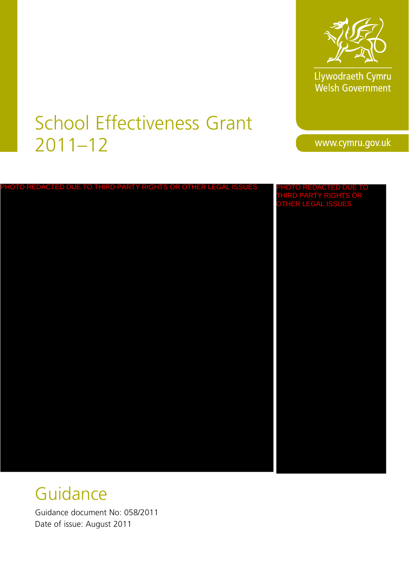

Llywodraeth Cymru<br>Welsh Government

# School Effectiveness Grant 2011–12

www.cymru.gov.uk

| PHOTO REDACTED DUE TO THIRD PARTY RIGHTS OR OTHER LEGAL ISSUES | PHOTO REDACTED DUE TO<br>THIRD PARTY RIGHTS OR<br>OTHER LEGAL ISSUES |
|----------------------------------------------------------------|----------------------------------------------------------------------|
|                                                                |                                                                      |
|                                                                |                                                                      |
|                                                                |                                                                      |
|                                                                |                                                                      |
|                                                                |                                                                      |
|                                                                |                                                                      |
|                                                                |                                                                      |
|                                                                |                                                                      |

# **Guidance**

Guidance document No: 058/2011 Date of issue: August 2011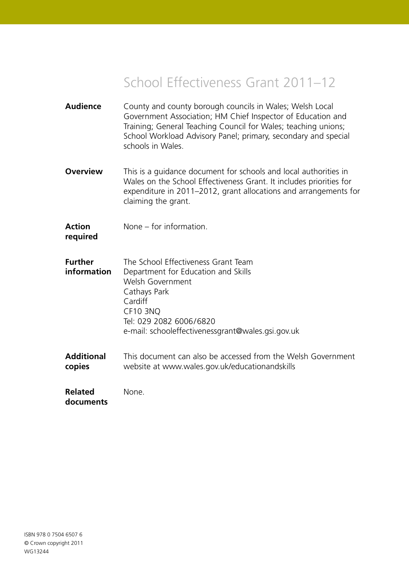## School Effectiveness Grant 2011–12

- **Audience** County and county borough councils in Wales; Welsh Local Government Association; HM Chief Inspector of Education and Training; General Teaching Council for Wales; teaching unions; School Workload Advisory Panel; primary, secondary and special schools in Wales.
- **Overview** This is a quidance document for schools and local authorities in Wales on the School Effectiveness Grant. It includes priorities for expenditure in 2011–2012, grant allocations and arrangements for claiming the grant.
- **Action** None for information. **required**
- **Further** The School Effectiveness Grant Team **information** Department for Education and Skills Welsh Government Cathays Park Cardiff CF10 3NQ Tel: 029 2082 6006/6820 e-mail: schooleffectivenessgrant@wales.gsi.gov.uk
- **Additional** This document can also be accessed from the Welsh Government **copies** website at www.wales.gov.uk/educationandskills

**Related** None. **documents**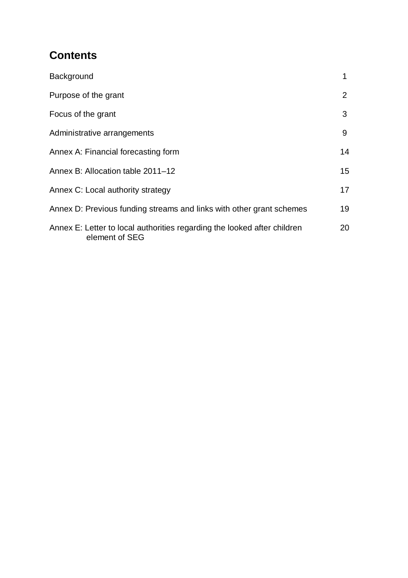## **Contents**

| Background                                                                                 | 1  |
|--------------------------------------------------------------------------------------------|----|
| Purpose of the grant                                                                       | 2  |
| Focus of the grant                                                                         | 3  |
| Administrative arrangements                                                                | 9  |
| Annex A: Financial forecasting form                                                        | 14 |
| Annex B: Allocation table 2011-12                                                          | 15 |
| Annex C: Local authority strategy                                                          | 17 |
| Annex D: Previous funding streams and links with other grant schemes                       | 19 |
| Annex E: Letter to local authorities regarding the looked after children<br>element of SEG | 20 |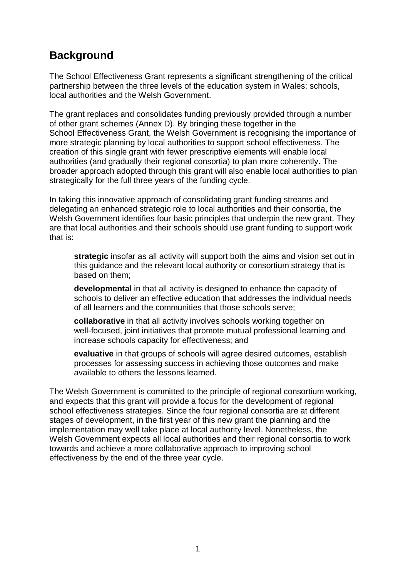## **Background**

The School Effectiveness Grant represents a significant strengthening of the critical partnership between the three levels of the education system in Wales: schools, local authorities and the Welsh Government.

The grant replaces and consolidates funding previously provided through a number of other grant schemes (Annex D). By bringing these together in the School Effectiveness Grant, the Welsh Government is recognising the importance of more strategic planning by local authorities to support school effectiveness. The creation of this single grant with fewer prescriptive elements will enable local authorities (and gradually their regional consortia) to plan more coherently. The broader approach adopted through this grant will also enable local authorities to plan strategically for the full three years of the funding cycle.

In taking this innovative approach of consolidating grant funding streams and delegating an enhanced strategic role to local authorities and their consortia, the Welsh Government identifies four basic principles that underpin the new grant. They are that local authorities and their schools should use grant funding to support work that is:

**strategic** insofar as all activity will support both the aims and vision set out in this guidance and the relevant local authority or consortium strategy that is based on them;

**developmental** in that all activity is designed to enhance the capacity of schools to deliver an effective education that addresses the individual needs of all learners and the communities that those schools serve;

**collaborative** in that all activity involves schools working together on well-focused, joint initiatives that promote mutual professional learning and increase schools capacity for effectiveness; and

**evaluative** in that groups of schools will agree desired outcomes, establish processes for assessing success in achieving those outcomes and make available to others the lessons learned.

The Welsh Government is committed to the principle of regional consortium working, and expects that this grant will provide a focus for the development of regional school effectiveness strategies. Since the four regional consortia are at different stages of development, in the first year of this new grant the planning and the implementation may well take place at local authority level. Nonetheless, the Welsh Government expects all local authorities and their regional consortia to work towards and achieve a more collaborative approach to improving school effectiveness by the end of the three year cycle.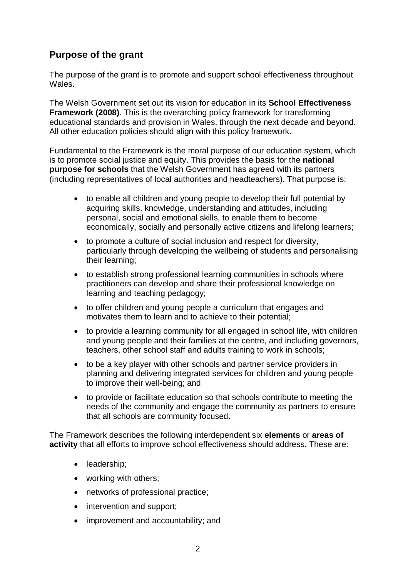#### **Purpose of the grant**

The purpose of the grant is to promote and support school effectiveness throughout Wales.

The Welsh Government set out its vision for education in its **School Effectiveness Framework (2008)**. This is the overarching policy framework for transforming educational standards and provision in Wales, through the next decade and beyond. All other education policies should align with this policy framework.

Fundamental to the Framework is the moral purpose of our education system, which is to promote social justice and equity. This provides the basis for the **national purpose for schools** that the Welsh Government has agreed with its partners (including representatives of local authorities and headteachers). That purpose is:

- to enable all children and young people to develop their full potential by acquiring skills, knowledge, understanding and attitudes, including personal, social and emotional skills, to enable them to become economically, socially and personally active citizens and lifelong learners;
- to promote a culture of social inclusion and respect for diversity, particularly through developing the wellbeing of students and personalising their learning;
- to establish strong professional learning communities in schools where practitioners can develop and share their professional knowledge on learning and teaching pedagogy;
- to offer children and young people a curriculum that engages and motivates them to learn and to achieve to their potential;
- to provide a learning community for all engaged in school life, with children and young people and their families at the centre, and including governors, teachers, other school staff and adults training to work in schools;
- to be a key player with other schools and partner service providers in planning and delivering integrated services for children and young people to improve their well-being; and
- to provide or facilitate education so that schools contribute to meeting the needs of the community and engage the community as partners to ensure that all schools are community focused.

The Framework describes the following interdependent six **elements** or **areas of activity** that all efforts to improve school effectiveness should address. These are:

- leadership;
- working with others;
- networks of professional practice;
- intervention and support:
- improvement and accountability; and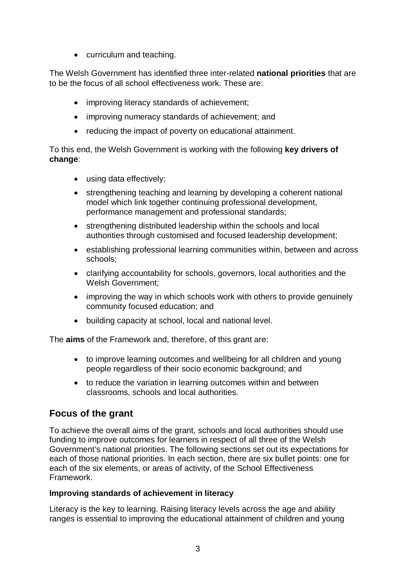• curriculum and teaching.

The Welsh Government has identified three inter-related **national priorities** that are to be the focus of all school effectiveness work. These are:

- improving literacy standards of achievement;
- improving numeracy standards of achievement; and
- reducing the impact of poverty on educational attainment.

To this end, the Welsh Government is working with the following **key drivers of change**:

- using data effectively;
- strengthening teaching and learning by developing a coherent national model which link together continuing professional development, performance management and professional standards;
- strengthening distributed leadership within the schools and local authorities through customised and focused leadership development;
- establishing professional learning communities within, between and across schools;
- clarifying accountability for schools, governors, local authorities and the Welsh Government;
- improving the way in which schools work with others to provide genuinely community focused education; and
- building capacity at school, local and national level.

The **aims** of the Framework and, therefore, of this grant are:

- to improve learning outcomes and wellbeing for all children and young people regardless of their socio economic background; and
- to reduce the variation in learning outcomes within and between classrooms, schools and local authorities.

#### **Focus of the grant**

To achieve the overall aims of the grant, schools and local authorities should use funding to improve outcomes for learners in respect of all three of the Welsh Government's national priorities. The following sections set out its expectations for each of those national priorities. In each section, there are six bullet points: one for each of the six elements, or areas of activity, of the School Effectiveness Framework.

#### **Improving standards of achievement in literacy**

Literacy is the key to learning. Raising literacy levels across the age and ability ranges is essential to improving the educational attainment of children and young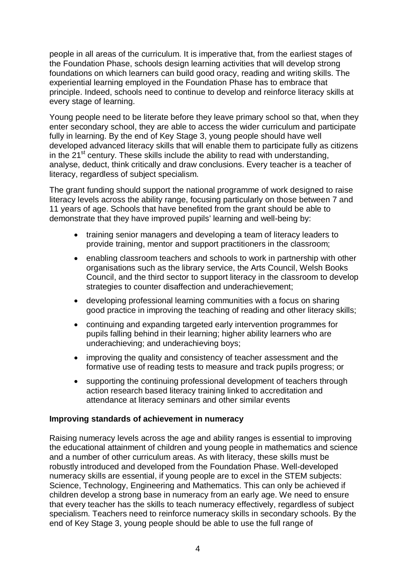people in all areas of the curriculum. It is imperative that, from the earliest stages of the Foundation Phase, schools design learning activities that will develop strong foundations on which learners can build good oracy, reading and writing skills. The experiential learning employed in the Foundation Phase has to embrace that principle. Indeed, schools need to continue to develop and reinforce literacy skills at every stage of learning.

Young people need to be literate before they leave primary school so that, when they enter secondary school, they are able to access the wider curriculum and participate fully in learning. By the end of Key Stage 3, young people should have well developed advanced literacy skills that will enable them to participate fully as citizens in the  $21<sup>st</sup>$  century. These skills include the ability to read with understanding, analyse, deduct, think critically and draw conclusions. Every teacher is a teacher of literacy, regardless of subject specialism.

The grant funding should support the national programme of work designed to raise literacy levels across the ability range, focusing particularly on those between 7 and 11 years of age. Schools that have benefited from the grant should be able to demonstrate that they have improved pupils' learning and well-being by:

- training senior managers and developing a team of literacy leaders to provide training, mentor and support practitioners in the classroom;
- enabling classroom teachers and schools to work in partnership with other organisations such as the library service, the Arts Council, Welsh Books Council, and the third sector to support literacy in the classroom to develop strategies to counter disaffection and underachievement;
- developing professional learning communities with a focus on sharing good practice in improving the teaching of reading and other literacy skills;
- continuing and expanding targeted early intervention programmes for pupils falling behind in their learning; higher ability learners who are underachieving; and underachieving boys;
- improving the quality and consistency of teacher assessment and the formative use of reading tests to measure and track pupils progress; or
- supporting the continuing professional development of teachers through action research based literacy training linked to accreditation and attendance at literacy seminars and other similar events

#### **Improving standards of achievement in numeracy**

Raising numeracy levels across the age and ability ranges is essential to improving the educational attainment of children and young people in mathematics and science and a number of other curriculum areas. As with literacy, these skills must be robustly introduced and developed from the Foundation Phase. Well-developed numeracy skills are essential, if young people are to excel in the STEM subjects: Science, Technology, Engineering and Mathematics. This can only be achieved if children develop a strong base in numeracy from an early age. We need to ensure that every teacher has the skills to teach numeracy effectively, regardless of subject specialism. Teachers need to reinforce numeracy skills in secondary schools. By the end of Key Stage 3, young people should be able to use the full range of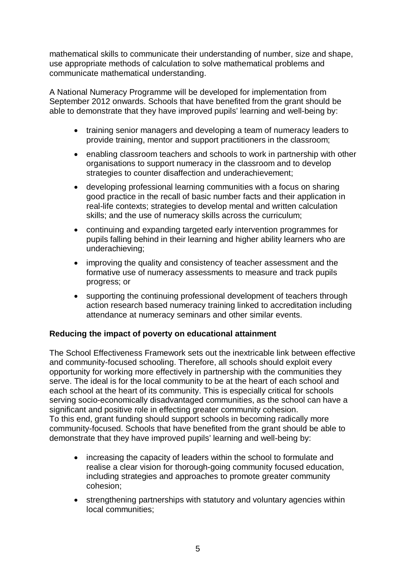mathematical skills to communicate their understanding of number, size and shape, use appropriate methods of calculation to solve mathematical problems and communicate mathematical understanding.

A National Numeracy Programme will be developed for implementation from September 2012 onwards. Schools that have benefited from the grant should be able to demonstrate that they have improved pupils' learning and well-being by:

- training senior managers and developing a team of numeracy leaders to provide training, mentor and support practitioners in the classroom;
- enabling classroom teachers and schools to work in partnership with other organisations to support numeracy in the classroom and to develop strategies to counter disaffection and underachievement;
- developing professional learning communities with a focus on sharing good practice in the recall of basic number facts and their application in real-life contexts; strategies to develop mental and written calculation skills; and the use of numeracy skills across the curriculum;
- continuing and expanding targeted early intervention programmes for pupils falling behind in their learning and higher ability learners who are underachieving;
- improving the quality and consistency of teacher assessment and the formative use of numeracy assessments to measure and track pupils progress; or
- supporting the continuing professional development of teachers through action research based numeracy training linked to accreditation including attendance at numeracy seminars and other similar events.

#### **Reducing the impact of poverty on educational attainment**

The School Effectiveness Framework sets out the inextricable link between effective and community-focused schooling. Therefore, all schools should exploit every opportunity for working more effectively in partnership with the communities they serve. The ideal is for the local community to be at the heart of each school and each school at the heart of its community. This is especially critical for schools serving socio-economically disadvantaged communities, as the school can have a significant and positive role in effecting greater community cohesion. To this end, grant funding should support schools in becoming radically more community-focused. Schools that have benefited from the grant should be able to demonstrate that they have improved pupils' learning and well-being by:

- increasing the capacity of leaders within the school to formulate and realise a clear vision for thorough-going community focused education, including strategies and approaches to promote greater community cohesion;
- strengthening partnerships with statutory and voluntary agencies within local communities;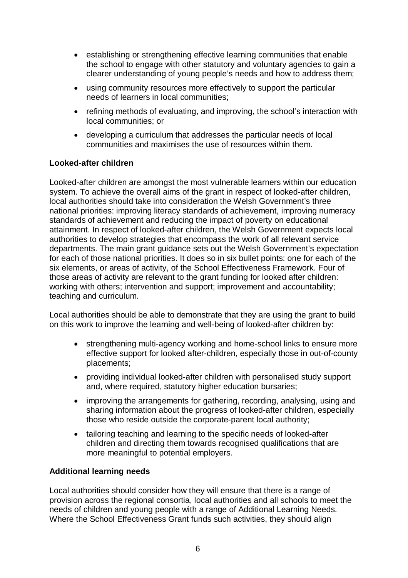- establishing or strengthening effective learning communities that enable the school to engage with other statutory and voluntary agencies to gain a clearer understanding of young people's needs and how to address them;
- using community resources more effectively to support the particular needs of learners in local communities;
- refining methods of evaluating, and improving, the school's interaction with local communities; or
- developing a curriculum that addresses the particular needs of local communities and maximises the use of resources within them.

#### **Looked-after children**

Looked-after children are amongst the most vulnerable learners within our education system. To achieve the overall aims of the grant in respect of looked-after children, local authorities should take into consideration the Welsh Government's three national priorities: improving literacy standards of achievement, improving numeracy standards of achievement and reducing the impact of poverty on educational attainment. In respect of looked-after children, the Welsh Government expects local authorities to develop strategies that encompass the work of all relevant service departments. The main grant guidance sets out the Welsh Government's expectation for each of those national priorities. It does so in six bullet points: one for each of the six elements, or areas of activity, of the School Effectiveness Framework. Four of those areas of activity are relevant to the grant funding for looked after children: working with others; intervention and support; improvement and accountability; teaching and curriculum.

Local authorities should be able to demonstrate that they are using the grant to build on this work to improve the learning and well-being of looked-after children by:

- strengthening multi-agency working and home-school links to ensure more effective support for looked after-children, especially those in out-of-county placements;
- providing individual looked-after children with personalised study support and, where required, statutory higher education bursaries;
- improving the arrangements for gathering, recording, analysing, using and sharing information about the progress of looked-after children, especially those who reside outside the corporate-parent local authority;
- tailoring teaching and learning to the specific needs of looked-after children and directing them towards recognised qualifications that are more meaningful to potential employers.

#### **Additional learning needs**

Local authorities should consider how they will ensure that there is a range of provision across the regional consortia, local authorities and all schools to meet the needs of children and young people with a range of Additional Learning Needs. Where the School Effectiveness Grant funds such activities, they should align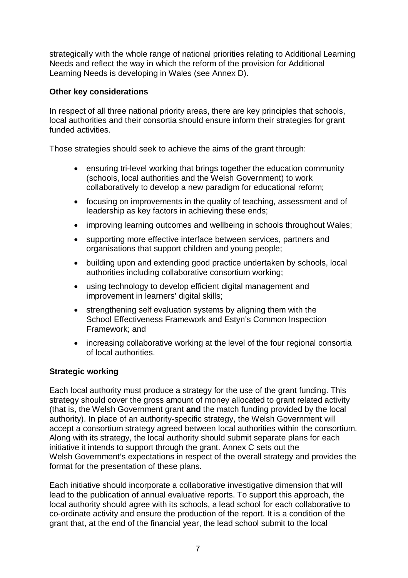strategically with the whole range of national priorities relating to Additional Learning Needs and reflect the way in which the reform of the provision for Additional Learning Needs is developing in Wales (see Annex D).

#### **Other key considerations**

In respect of all three national priority areas, there are key principles that schools, local authorities and their consortia should ensure inform their strategies for grant funded activities.

Those strategies should seek to achieve the aims of the grant through:

- ensuring tri-level working that brings together the education community (schools, local authorities and the Welsh Government) to work collaboratively to develop a new paradigm for educational reform;
- focusing on improvements in the quality of teaching, assessment and of leadership as key factors in achieving these ends;
- improving learning outcomes and wellbeing in schools throughout Wales;
- supporting more effective interface between services, partners and organisations that support children and young people;
- building upon and extending good practice undertaken by schools, local authorities including collaborative consortium working;
- using technology to develop efficient digital management and improvement in learners' digital skills;
- strengthening self evaluation systems by aligning them with the School Effectiveness Framework and Estyn's Common Inspection Framework; and
- increasing collaborative working at the level of the four regional consortia of local authorities.

#### **Strategic working**

Each local authority must produce a strategy for the use of the grant funding. This strategy should cover the gross amount of money allocated to grant related activity (that is, the Welsh Government grant **and** the match funding provided by the local authority). In place of an authority-specific strategy, the Welsh Government will accept a consortium strategy agreed between local authorities within the consortium. Along with its strategy, the local authority should submit separate plans for each initiative it intends to support through the grant. Annex C sets out the Welsh Government's expectations in respect of the overall strategy and provides the format for the presentation of these plans.

Each initiative should incorporate a collaborative investigative dimension that will lead to the publication of annual evaluative reports. To support this approach, the local authority should agree with its schools, a lead school for each collaborative to co-ordinate activity and ensure the production of the report. It is a condition of the grant that, at the end of the financial year, the lead school submit to the local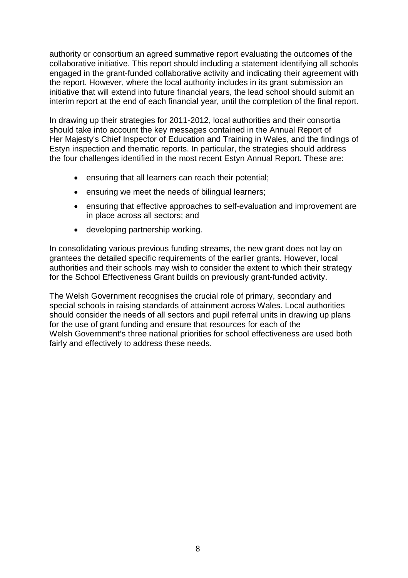authority or consortium an agreed summative report evaluating the outcomes of the collaborative initiative. This report should including a statement identifying all schools engaged in the grant-funded collaborative activity and indicating their agreement with the report. However, where the local authority includes in its grant submission an initiative that will extend into future financial years, the lead school should submit an interim report at the end of each financial year, until the completion of the final report.

In drawing up their strategies for 2011-2012, local authorities and their consortia should take into account the key messages contained in the Annual Report of Her Majesty's Chief Inspector of Education and Training in Wales, and the findings of Estyn inspection and thematic reports. In particular, the strategies should address the four challenges identified in the most recent Estyn Annual Report. These are:

- ensuring that all learners can reach their potential;
- ensuring we meet the needs of bilingual learners;
- ensuring that effective approaches to self-evaluation and improvement are in place across all sectors; and
- developing partnership working.

In consolidating various previous funding streams, the new grant does not lay on grantees the detailed specific requirements of the earlier grants. However, local authorities and their schools may wish to consider the extent to which their strategy for the School Effectiveness Grant builds on previously grant-funded activity.

The Welsh Government recognises the crucial role of primary, secondary and special schools in raising standards of attainment across Wales. Local authorities should consider the needs of all sectors and pupil referral units in drawing up plans for the use of grant funding and ensure that resources for each of the Welsh Government's three national priorities for school effectiveness are used both fairly and effectively to address these needs.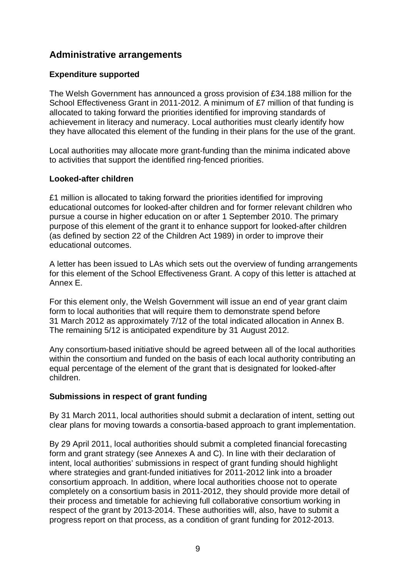#### **Administrative arrangements**

#### **Expenditure supported**

The Welsh Government has announced a gross provision of £34.188 million for the School Effectiveness Grant in 2011-2012. A minimum of £7 million of that funding is allocated to taking forward the priorities identified for improving standards of achievement in literacy and numeracy. Local authorities must clearly identify how they have allocated this element of the funding in their plans for the use of the grant.

Local authorities may allocate more grant-funding than the minima indicated above to activities that support the identified ring-fenced priorities.

#### **Looked-after children**

£1 million is allocated to taking forward the priorities identified for improving educational outcomes for looked-after children and for former relevant children who pursue a course in higher education on or after 1 September 2010. The primary purpose of this element of the grant it to enhance support for looked-after children (as defined by section 22 of the Children Act 1989) in order to improve their educational outcomes.

A letter has been issued to LAs which sets out the overview of funding arrangements for this element of the School Effectiveness Grant. A copy of this letter is attached at Annex E.

For this element only, the Welsh Government will issue an end of year grant claim form to local authorities that will require them to demonstrate spend before 31 March 2012 as approximately 7/12 of the total indicated allocation in Annex B. The remaining 5/12 is anticipated expenditure by 31 August 2012.

Any consortium-based initiative should be agreed between all of the local authorities within the consortium and funded on the basis of each local authority contributing an equal percentage of the element of the grant that is designated for looked-after children.

#### **Submissions in respect of grant funding**

By 31 March 2011, local authorities should submit a declaration of intent, setting out clear plans for moving towards a consortia-based approach to grant implementation.

By 29 April 2011, local authorities should submit a completed financial forecasting form and grant strategy (see Annexes A and C). In line with their declaration of intent, local authorities' submissions in respect of grant funding should highlight where strategies and grant-funded initiatives for 2011-2012 link into a broader consortium approach. In addition, where local authorities choose not to operate completely on a consortium basis in 2011-2012, they should provide more detail of their process and timetable for achieving full collaborative consortium working in respect of the grant by 2013-2014. These authorities will, also, have to submit a progress report on that process, as a condition of grant funding for 2012-2013.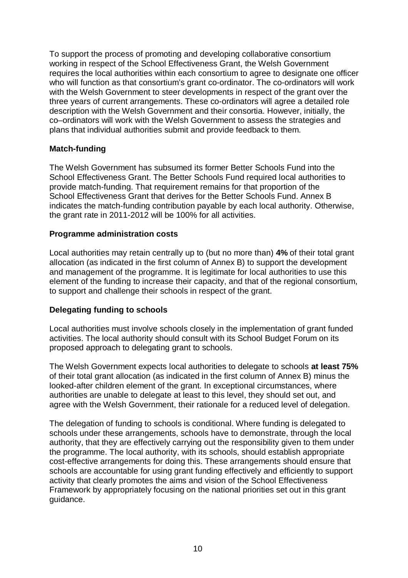To support the process of promoting and developing collaborative consortium working in respect of the School Effectiveness Grant, the Welsh Government requires the local authorities within each consortium to agree to designate one officer who will function as that consortium's grant co-ordinator. The co-ordinators will work with the Welsh Government to steer developments in respect of the grant over the three years of current arrangements. These co-ordinators will agree a detailed role description with the Welsh Government and their consortia. However, initially, the co–ordinators will work with the Welsh Government to assess the strategies and plans that individual authorities submit and provide feedback to them.

#### **Match-funding**

The Welsh Government has subsumed its former Better Schools Fund into the School Effectiveness Grant. The Better Schools Fund required local authorities to provide match-funding. That requirement remains for that proportion of the School Effectiveness Grant that derives for the Better Schools Fund. Annex B indicates the match-funding contribution payable by each local authority. Otherwise, the grant rate in 2011-2012 will be 100% for all activities.

#### **Programme administration costs**

Local authorities may retain centrally up to (but no more than) **4%** of their total grant allocation (as indicated in the first column of Annex B) to support the development and management of the programme. It is legitimate for local authorities to use this element of the funding to increase their capacity, and that of the regional consortium, to support and challenge their schools in respect of the grant.

#### **Delegating funding to schools**

Local authorities must involve schools closely in the implementation of grant funded activities. The local authority should consult with its School Budget Forum on its proposed approach to delegating grant to schools.

The Welsh Government expects local authorities to delegate to schools **at least 75%** of their total grant allocation (as indicated in the first column of Annex B) minus the looked-after children element of the grant. In exceptional circumstances, where authorities are unable to delegate at least to this level, they should set out, and agree with the Welsh Government, their rationale for a reduced level of delegation.

The delegation of funding to schools is conditional. Where funding is delegated to schools under these arrangements, schools have to demonstrate, through the local authority, that they are effectively carrying out the responsibility given to them under the programme. The local authority, with its schools, should establish appropriate cost-effective arrangements for doing this. These arrangements should ensure that schools are accountable for using grant funding effectively and efficiently to support activity that clearly promotes the aims and vision of the School Effectiveness Framework by appropriately focusing on the national priorities set out in this grant guidance.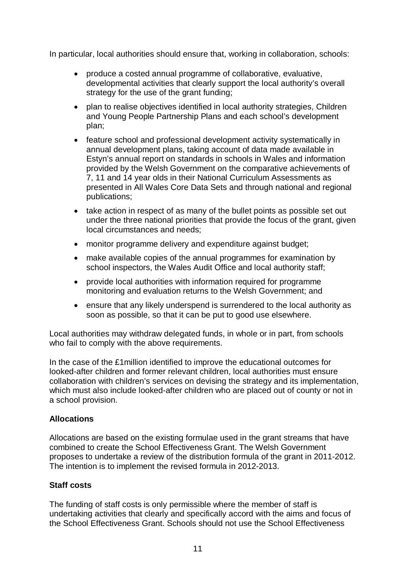In particular, local authorities should ensure that, working in collaboration, schools:

- produce a costed annual programme of collaborative, evaluative, developmental activities that clearly support the local authority's overall strategy for the use of the grant funding;
- plan to realise objectives identified in local authority strategies, Children and Young People Partnership Plans and each school's development plan;
- feature school and professional development activity systematically in annual development plans, taking account of data made available in Estyn's annual report on standards in schools in Wales and information provided by the Welsh Government on the comparative achievements of 7, 11 and 14 year olds in their National Curriculum Assessments as presented in All Wales Core Data Sets and through national and regional publications;
- take action in respect of as many of the bullet points as possible set out under the three national priorities that provide the focus of the grant, given local circumstances and needs;
- monitor programme delivery and expenditure against budget;
- make available copies of the annual programmes for examination by school inspectors, the Wales Audit Office and local authority staff;
- provide local authorities with information required for programme monitoring and evaluation returns to the Welsh Government; and
- ensure that any likely underspend is surrendered to the local authority as soon as possible, so that it can be put to good use elsewhere.

Local authorities may withdraw delegated funds, in whole or in part, from schools who fail to comply with the above requirements.

In the case of the £1million identified to improve the educational outcomes for looked-after children and former relevant children, local authorities must ensure collaboration with children's services on devising the strategy and its implementation, which must also include looked-after children who are placed out of county or not in a school provision.

#### **Allocations**

Allocations are based on the existing formulae used in the grant streams that have combined to create the School Effectiveness Grant. The Welsh Government proposes to undertake a review of the distribution formula of the grant in 2011-2012. The intention is to implement the revised formula in 2012-2013.

#### **Staff costs**

The funding of staff costs is only permissible where the member of staff is undertaking activities that clearly and specifically accord with the aims and focus of the School Effectiveness Grant. Schools should not use the School Effectiveness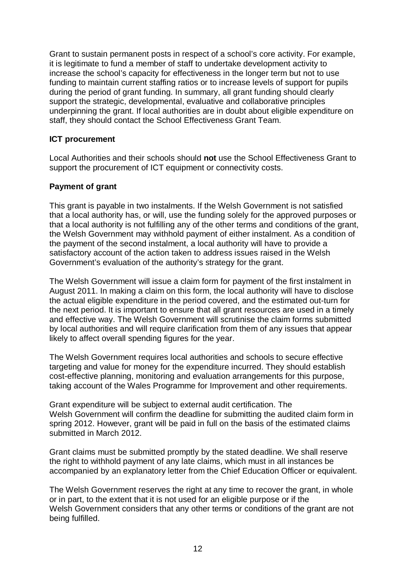Grant to sustain permanent posts in respect of a school's core activity. For example, it is legitimate to fund a member of staff to undertake development activity to increase the school's capacity for effectiveness in the longer term but not to use funding to maintain current staffing ratios or to increase levels of support for pupils during the period of grant funding. In summary, all grant funding should clearly support the strategic, developmental, evaluative and collaborative principles underpinning the grant. If local authorities are in doubt about eligible expenditure on staff, they should contact the School Effectiveness Grant Team.

#### **ICT procurement**

Local Authorities and their schools should **not** use the School Effectiveness Grant to support the procurement of ICT equipment or connectivity costs.

#### **Payment of grant**

This grant is payable in two instalments. If the Welsh Government is not satisfied that a local authority has, or will, use the funding solely for the approved purposes or that a local authority is not fulfilling any of the other terms and conditions of the grant, the Welsh Government may withhold payment of either instalment. As a condition of the payment of the second instalment, a local authority will have to provide a satisfactory account of the action taken to address issues raised in the Welsh Government's evaluation of the authority's strategy for the grant.

The Welsh Government will issue a claim form for payment of the first instalment in August 2011. In making a claim on this form, the local authority will have to disclose the actual eligible expenditure in the period covered, and the estimated out-turn for the next period. It is important to ensure that all grant resources are used in a timely and effective way. The Welsh Government will scrutinise the claim forms submitted by local authorities and will require clarification from them of any issues that appear likely to affect overall spending figures for the year.

The Welsh Government requires local authorities and schools to secure effective targeting and value for money for the expenditure incurred. They should establish cost-effective planning, monitoring and evaluation arrangements for this purpose, taking account of the Wales Programme for Improvement and other requirements.

Grant expenditure will be subject to external audit certification. The Welsh Government will confirm the deadline for submitting the audited claim form in spring 2012. However, grant will be paid in full on the basis of the estimated claims submitted in March 2012.

Grant claims must be submitted promptly by the stated deadline. We shall reserve the right to withhold payment of any late claims, which must in all instances be accompanied by an explanatory letter from the Chief Education Officer or equivalent.

The Welsh Government reserves the right at any time to recover the grant, in whole or in part, to the extent that it is not used for an eligible purpose or if the Welsh Government considers that any other terms or conditions of the grant are not being fulfilled.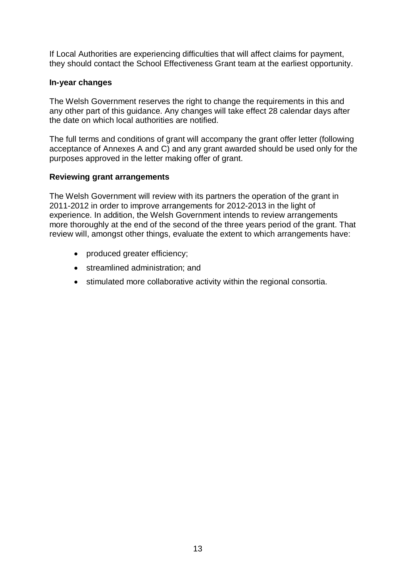If Local Authorities are experiencing difficulties that will affect claims for payment, they should contact the School Effectiveness Grant team at the earliest opportunity.

#### **In-year changes**

The Welsh Government reserves the right to change the requirements in this and any other part of this guidance. Any changes will take effect 28 calendar days after the date on which local authorities are notified.

The full terms and conditions of grant will accompany the grant offer letter (following acceptance of Annexes A and C) and any grant awarded should be used only for the purposes approved in the letter making offer of grant.

#### **Reviewing grant arrangements**

The Welsh Government will review with its partners the operation of the grant in 2011-2012 in order to improve arrangements for 2012-2013 in the light of experience. In addition, the Welsh Government intends to review arrangements more thoroughly at the end of the second of the three years period of the grant. That review will, amongst other things, evaluate the extent to which arrangements have:

- produced greater efficiency;
- streamlined administration; and
- stimulated more collaborative activity within the regional consortia.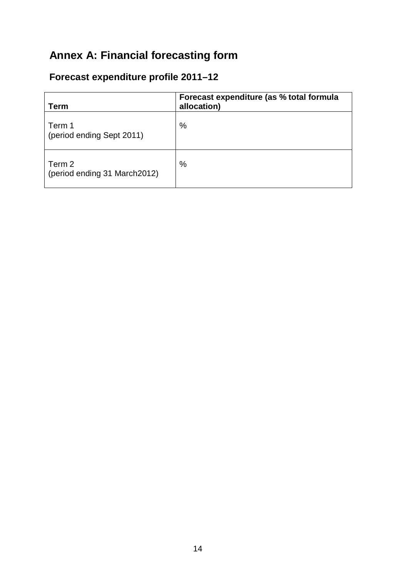## **Annex A: Financial forecasting form**

## **Forecast expenditure profile 2011–12**

| Term                                   | Forecast expenditure (as % total formula<br>allocation) |
|----------------------------------------|---------------------------------------------------------|
| Term 1<br>(period ending Sept 2011)    | $\%$                                                    |
| Term 2<br>(period ending 31 March2012) | %                                                       |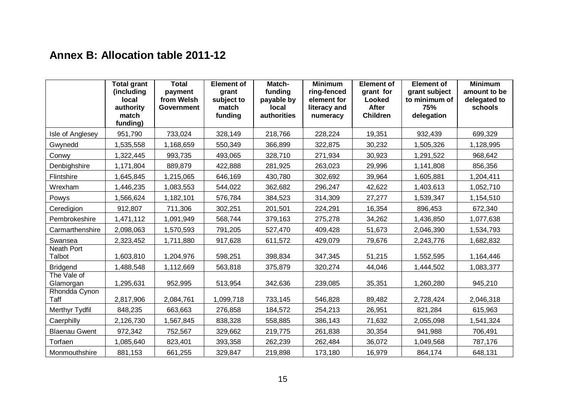## **Annex B: Allocation table 2011-12**

|                          | <b>Total grant</b><br>(including<br>local<br>authority<br>match<br>funding) | <b>Total</b><br>payment<br>from Welsh<br>Government | <b>Element of</b><br>grant<br>subject to<br>match<br>funding | Match-<br>funding<br>payable by<br>local<br>authorities | <b>Minimum</b><br>ring-fenced<br>element for<br>literacy and<br>numeracy | <b>Element of</b><br>grant for<br>Looked<br><b>After</b><br><b>Children</b> | <b>Element of</b><br>grant subject<br>to minimum of<br>75%<br>delegation | <b>Minimum</b><br>amount to be<br>delegated to<br>schools |
|--------------------------|-----------------------------------------------------------------------------|-----------------------------------------------------|--------------------------------------------------------------|---------------------------------------------------------|--------------------------------------------------------------------------|-----------------------------------------------------------------------------|--------------------------------------------------------------------------|-----------------------------------------------------------|
| Isle of Anglesey         | 951,790                                                                     | 733,024                                             | 328,149                                                      | 218,766                                                 | 228,224                                                                  | 19,351                                                                      | 932,439                                                                  | 699,329                                                   |
| Gwynedd                  | 1,535,558                                                                   | 1,168,659                                           | 550,349                                                      | 366,899                                                 | 322,875                                                                  | 30,232                                                                      | 1,505,326                                                                | 1,128,995                                                 |
| Conwy                    | 1,322,445                                                                   | 993,735                                             | 493,065                                                      | 328,710                                                 | 271,934                                                                  | 30,923                                                                      | 1,291,522                                                                | 968,642                                                   |
| Denbighshire             | 1,171,804                                                                   | 889,879                                             | 422,888                                                      | 281,925                                                 | 263,023                                                                  | 29,996                                                                      | 1,141,808                                                                | 856,356                                                   |
| Flintshire               | 1,645,845                                                                   | 1,215,065                                           | 646,169                                                      | 430,780                                                 | 302,692                                                                  | 39,964                                                                      | 1,605,881                                                                | 1,204,411                                                 |
| Wrexham                  | 1,446,235                                                                   | 1,083,553                                           | 544,022                                                      | 362,682                                                 | 296,247                                                                  | 42,622                                                                      | 1,403,613                                                                | 1,052,710                                                 |
| Powys                    | 1,566,624                                                                   | 1,182,101                                           | 576,784                                                      | 384,523                                                 | 314,309                                                                  | 27,277                                                                      | 1,539,347                                                                | 1,154,510                                                 |
| Ceredigion               | 912,807                                                                     | 711,306                                             | 302,251                                                      | 201,501                                                 | 224,291                                                                  | 16,354                                                                      | 896,453                                                                  | 672,340                                                   |
| Pembrokeshire            | 1,471,112                                                                   | 1,091,949                                           | 568,744                                                      | 379,163                                                 | 275,278                                                                  | 34,262                                                                      | 1,436,850                                                                | 1,077,638                                                 |
| Carmarthenshire          | 2,098,063                                                                   | 1,570,593                                           | 791,205                                                      | 527,470                                                 | 409,428                                                                  | 51,673                                                                      | 2,046,390                                                                | 1,534,793                                                 |
| Swansea                  | 2,323,452                                                                   | 1,711,880                                           | 917,628                                                      | 611,572                                                 | 429,079                                                                  | 79,676                                                                      | 2,243,776                                                                | 1,682,832                                                 |
| Neath Port<br>Talbot     | 1,603,810                                                                   | 1,204,976                                           | 598,251                                                      | 398,834                                                 | 347,345                                                                  | 51,215                                                                      | 1,552,595                                                                | 1,164,446                                                 |
| <b>Bridgend</b>          | 1,488,548                                                                   | 1,112,669                                           | 563,818                                                      | 375,879                                                 | 320,274                                                                  | 44,046                                                                      | 1,444,502                                                                | 1,083,377                                                 |
| The Vale of<br>Glamorgan | 1,295,631                                                                   | 952,995                                             | 513,954                                                      | 342,636                                                 | 239,085                                                                  | 35,351                                                                      | 1,260,280                                                                | 945,210                                                   |
| Rhondda Cynon<br>Taff    | 2,817,906                                                                   | 2,084,761                                           | 1,099,718                                                    | 733,145                                                 | 546,828                                                                  | 89,482                                                                      | 2,728,424                                                                | 2,046,318                                                 |
| Merthyr Tydfil           | 848,235                                                                     | 663,663                                             | 276,858                                                      | 184,572                                                 | 254,213                                                                  | 26,951                                                                      | 821,284                                                                  | 615,963                                                   |
| Caerphilly               | 2,126,730                                                                   | 1,567,845                                           | 838,328                                                      | 558,885                                                 | 386,143                                                                  | 71,632                                                                      | 2,055,098                                                                | 1,541,324                                                 |
| <b>Blaenau Gwent</b>     | 972,342                                                                     | 752,567                                             | 329,662                                                      | 219,775                                                 | 261,838                                                                  | 30,354                                                                      | 941,988                                                                  | 706,491                                                   |
| Torfaen                  | 1,085,640                                                                   | 823,401                                             | 393,358                                                      | 262,239                                                 | 262,484                                                                  | 36,072                                                                      | 1,049,568                                                                | 787,176                                                   |
| Monmouthshire            | 881,153                                                                     | 661,255                                             | 329,847                                                      | 219,898                                                 | 173,180                                                                  | 16,979                                                                      | 864,174                                                                  | 648,131                                                   |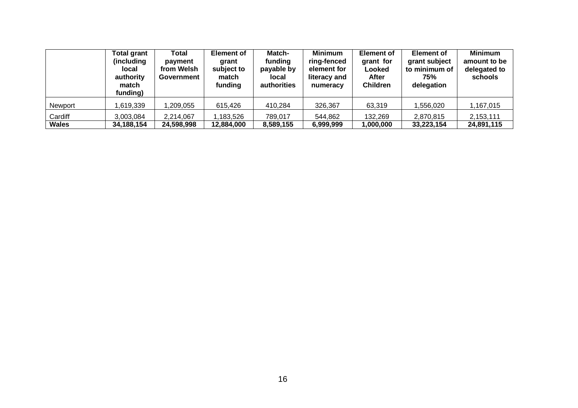|                | <b>Total grant</b><br>(including)<br>local<br>authority<br>match<br>funding) | Total<br>payment<br>from Welsh<br>Government | <b>Element of</b><br>grant<br>subject to<br>match<br>funding | Match-<br>funding<br>payable by<br>local<br>authorities | <b>Minimum</b><br>ring-fenced<br>element for<br>literacy and<br>numeracy | <b>Element of</b><br>grant for<br>Looked<br><b>After</b><br><b>Children</b> | <b>Element of</b><br>grant subject<br>to minimum of<br>75%<br>delegation | <b>Minimum</b><br>amount to be<br>delegated to<br>schools |
|----------------|------------------------------------------------------------------------------|----------------------------------------------|--------------------------------------------------------------|---------------------------------------------------------|--------------------------------------------------------------------------|-----------------------------------------------------------------------------|--------------------------------------------------------------------------|-----------------------------------------------------------|
| <b>Newport</b> | 619,339                                                                      | ,209,055                                     | 615,426                                                      | 410,284                                                 | 326,367                                                                  | 63,319                                                                      | 1,556,020                                                                | 1,167,015                                                 |
| Cardiff        | 3,003,084                                                                    | 2,214,067                                    | ,183,526                                                     | 789,017                                                 | 544,862                                                                  | 132,269                                                                     | 2,870,815                                                                | 2,153,111                                                 |
| Wales          | 34,188,154                                                                   | 24,598,998                                   | 12,884,000                                                   | 8,589,155                                               | 6,999,999                                                                | 1,000,000                                                                   | 33,223,154                                                               | 24,891,115                                                |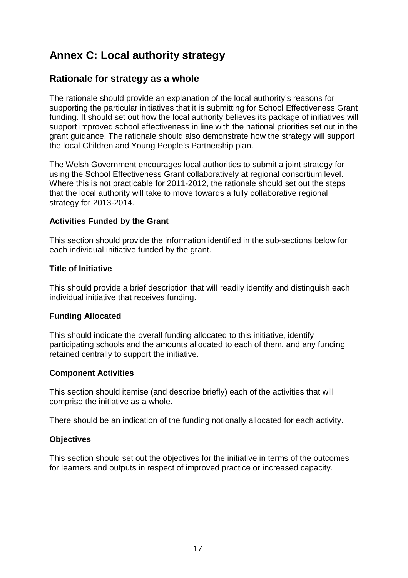## **Annex C: Local authority strategy**

#### **Rationale for strategy as a whole**

The rationale should provide an explanation of the local authority's reasons for supporting the particular initiatives that it is submitting for School Effectiveness Grant funding. It should set out how the local authority believes its package of initiatives will support improved school effectiveness in line with the national priorities set out in the grant guidance. The rationale should also demonstrate how the strategy will support the local Children and Young People's Partnership plan.

The Welsh Government encourages local authorities to submit a joint strategy for using the School Effectiveness Grant collaboratively at regional consortium level. Where this is not practicable for 2011-2012, the rationale should set out the steps that the local authority will take to move towards a fully collaborative regional strategy for 2013-2014.

#### **Activities Funded by the Grant**

This section should provide the information identified in the sub-sections below for each individual initiative funded by the grant.

#### **Title of Initiative**

This should provide a brief description that will readily identify and distinguish each individual initiative that receives funding.

#### **Funding Allocated**

This should indicate the overall funding allocated to this initiative, identify participating schools and the amounts allocated to each of them, and any funding retained centrally to support the initiative.

#### **Component Activities**

This section should itemise (and describe briefly) each of the activities that will comprise the initiative as a whole.

There should be an indication of the funding notionally allocated for each activity.

#### **Objectives**

This section should set out the objectives for the initiative in terms of the outcomes for learners and outputs in respect of improved practice or increased capacity.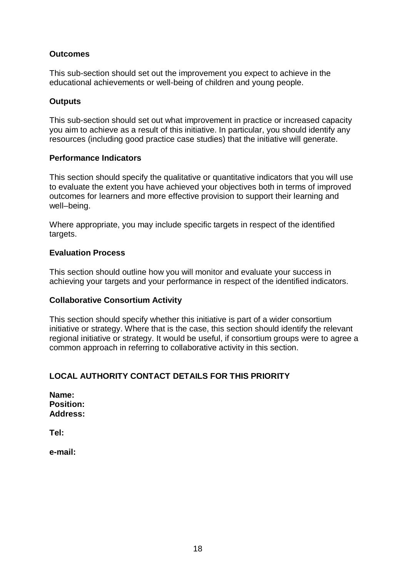#### **Outcomes**

This sub-section should set out the improvement you expect to achieve in the educational achievements or well-being of children and young people.

#### **Outputs**

This sub-section should set out what improvement in practice or increased capacity you aim to achieve as a result of this initiative. In particular, you should identify any resources (including good practice case studies) that the initiative will generate.

#### **Performance Indicators**

This section should specify the qualitative or quantitative indicators that you will use to evaluate the extent you have achieved your objectives both in terms of improved outcomes for learners and more effective provision to support their learning and well–being.

Where appropriate, you may include specific targets in respect of the identified targets.

#### **Evaluation Process**

This section should outline how you will monitor and evaluate your success in achieving your targets and your performance in respect of the identified indicators.

#### **Collaborative Consortium Activity**

This section should specify whether this initiative is part of a wider consortium initiative or strategy. Where that is the case, this section should identify the relevant regional initiative or strategy. It would be useful, if consortium groups were to agree a common approach in referring to collaborative activity in this section.

#### **LOCAL AUTHORITY CONTACT DETAILS FOR THIS PRIORITY**

| Name:            |
|------------------|
| <b>Position:</b> |
| <b>Address:</b>  |

**Tel:** 

**e-mail:**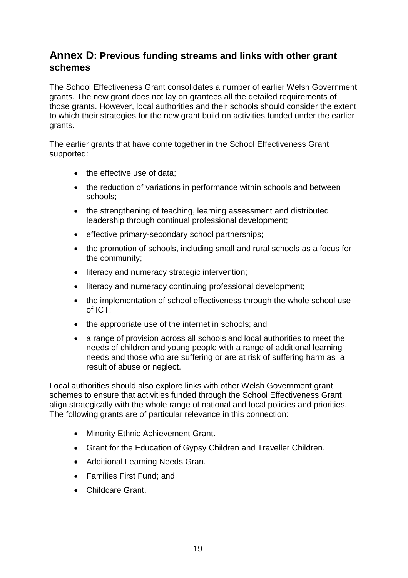#### **Annex D: Previous funding streams and links with other grant schemes**

The School Effectiveness Grant consolidates a number of earlier Welsh Government grants. The new grant does not lay on grantees all the detailed requirements of those grants. However, local authorities and their schools should consider the extent to which their strategies for the new grant build on activities funded under the earlier grants.

The earlier grants that have come together in the School Effectiveness Grant supported:

- the effective use of data:
- the reduction of variations in performance within schools and between schools;
- the strengthening of teaching, learning assessment and distributed leadership through continual professional development;
- effective primary-secondary school partnerships;
- the promotion of schools, including small and rural schools as a focus for the community;
- literacy and numeracy strategic intervention;
- literacy and numeracy continuing professional development;
- the implementation of school effectiveness through the whole school use of ICT;
- the appropriate use of the internet in schools; and
- a range of provision across all schools and local authorities to meet the needs of children and young people with a range of additional learning needs and those who are suffering or are at risk of suffering harm as a result of abuse or neglect.

Local authorities should also explore links with other Welsh Government grant schemes to ensure that activities funded through the School Effectiveness Grant align strategically with the whole range of national and local policies and priorities. The following grants are of particular relevance in this connection:

- Minority Ethnic Achievement Grant.
- Grant for the Education of Gypsy Children and Traveller Children.
- Additional Learning Needs Gran.
- Families First Fund; and
- Childcare Grant.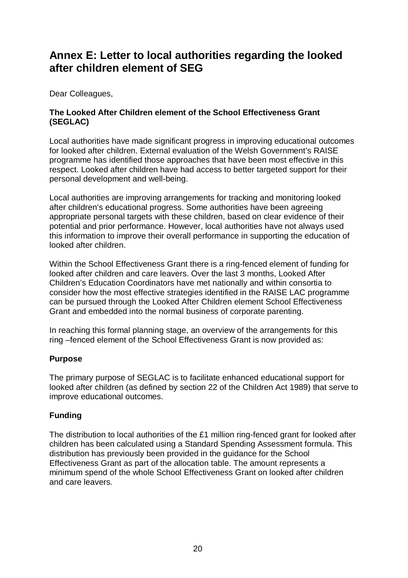## **Annex E: Letter to local authorities regarding the looked after children element of SEG**

Dear Colleagues,

#### **The Looked After Children element of the School Effectiveness Grant (SEGLAC)**

Local authorities have made significant progress in improving educational outcomes for looked after children. External evaluation of the Welsh Government's RAISE programme has identified those approaches that have been most effective in this respect. Looked after children have had access to better targeted support for their personal development and well-being.

Local authorities are improving arrangements for tracking and monitoring looked after children's educational progress. Some authorities have been agreeing appropriate personal targets with these children, based on clear evidence of their potential and prior performance. However, local authorities have not always used this information to improve their overall performance in supporting the education of looked after children.

Within the School Effectiveness Grant there is a ring-fenced element of funding for looked after children and care leavers. Over the last 3 months, Looked After Children's Education Coordinators have met nationally and within consortia to consider how the most effective strategies identified in the RAISE LAC programme can be pursued through the Looked After Children element School Effectiveness Grant and embedded into the normal business of corporate parenting.

In reaching this formal planning stage, an overview of the arrangements for this ring –fenced element of the School Effectiveness Grant is now provided as:

#### **Purpose**

The primary purpose of SEGLAC is to facilitate enhanced educational support for looked after children (as defined by section 22 of the Children Act 1989) that serve to improve educational outcomes.

#### **Funding**

The distribution to local authorities of the £1 million ring-fenced grant for looked after children has been calculated using a Standard Spending Assessment formula. This distribution has previously been provided in the guidance for the School Effectiveness Grant as part of the allocation table. The amount represents a minimum spend of the whole School Effectiveness Grant on looked after children and care leavers.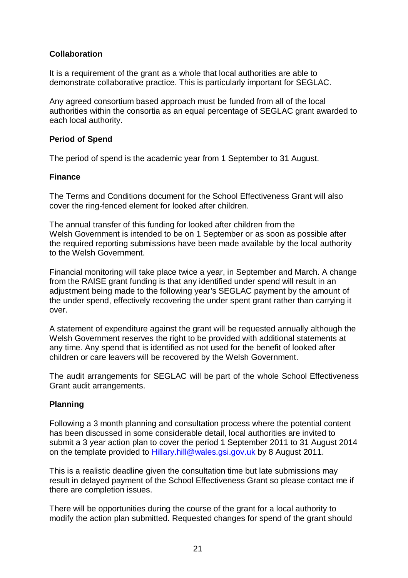#### **Collaboration**

It is a requirement of the grant as a whole that local authorities are able to demonstrate collaborative practice. This is particularly important for SEGLAC.

Any agreed consortium based approach must be funded from all of the local authorities within the consortia as an equal percentage of SEGLAC grant awarded to each local authority.

#### **Period of Spend**

The period of spend is the academic year from 1 September to 31 August.

#### **Finance**

The Terms and Conditions document for the School Effectiveness Grant will also cover the ring-fenced element for looked after children.

The annual transfer of this funding for looked after children from the Welsh Government is intended to be on 1 September or as soon as possible after the required reporting submissions have been made available by the local authority to the Welsh Government.

Financial monitoring will take place twice a year, in September and March. A change from the RAISE grant funding is that any identified under spend will result in an adjustment being made to the following year's SEGLAC payment by the amount of the under spend, effectively recovering the under spent grant rather than carrying it over.

A statement of expenditure against the grant will be requested annually although the Welsh Government reserves the right to be provided with additional statements at any time. Any spend that is identified as not used for the benefit of looked after children or care leavers will be recovered by the Welsh Government.

The audit arrangements for SEGLAC will be part of the whole School Effectiveness Grant audit arrangements.

#### **Planning**

Following a 3 month planning and consultation process where the potential content has been discussed in some considerable detail, local authorities are invited to submit a 3 year action plan to cover the period 1 September 2011 to 31 August 2014 on the template provided to Hillary.hill@wales.gsi.gov.uk by 8 August 2011.

This is a realistic deadline given the consultation time but late submissions may result in delayed payment of the School Effectiveness Grant so please contact me if there are completion issues.

There will be opportunities during the course of the grant for a local authority to modify the action plan submitted. Requested changes for spend of the grant should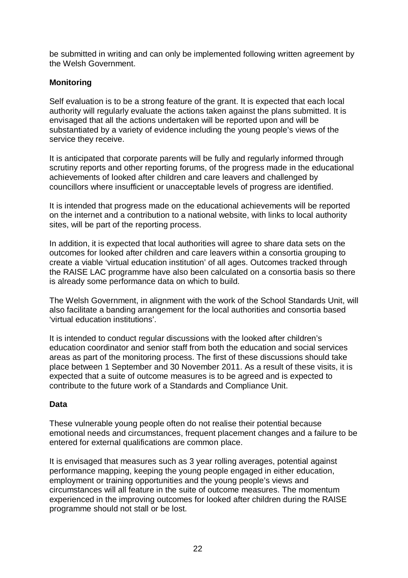be submitted in writing and can only be implemented following written agreement by the Welsh Government.

#### **Monitoring**

Self evaluation is to be a strong feature of the grant. It is expected that each local authority will regularly evaluate the actions taken against the plans submitted. It is envisaged that all the actions undertaken will be reported upon and will be substantiated by a variety of evidence including the young people's views of the service they receive.

It is anticipated that corporate parents will be fully and regularly informed through scrutiny reports and other reporting forums, of the progress made in the educational achievements of looked after children and care leavers and challenged by councillors where insufficient or unacceptable levels of progress are identified.

It is intended that progress made on the educational achievements will be reported on the internet and a contribution to a national website, with links to local authority sites, will be part of the reporting process.

In addition, it is expected that local authorities will agree to share data sets on the outcomes for looked after children and care leavers within a consortia grouping to create a viable 'virtual education institution' of all ages. Outcomes tracked through the RAISE LAC programme have also been calculated on a consortia basis so there is already some performance data on which to build.

The Welsh Government, in alignment with the work of the School Standards Unit, will also facilitate a banding arrangement for the local authorities and consortia based 'virtual education institutions'.

It is intended to conduct regular discussions with the looked after children's education coordinator and senior staff from both the education and social services areas as part of the monitoring process. The first of these discussions should take place between 1 September and 30 November 2011. As a result of these visits, it is expected that a suite of outcome measures is to be agreed and is expected to contribute to the future work of a Standards and Compliance Unit.

#### **Data**

These vulnerable young people often do not realise their potential because emotional needs and circumstances, frequent placement changes and a failure to be entered for external qualifications are common place.

It is envisaged that measures such as 3 year rolling averages, potential against performance mapping, keeping the young people engaged in either education, employment or training opportunities and the young people's views and circumstances will all feature in the suite of outcome measures. The momentum experienced in the improving outcomes for looked after children during the RAISE programme should not stall or be lost.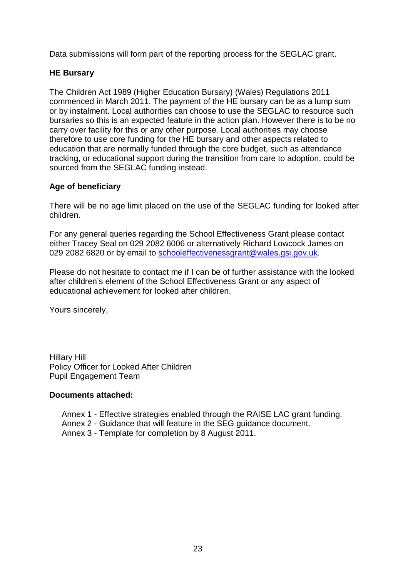Data submissions will form part of the reporting process for the SEGLAC grant.

#### **HE Bursary**

The Children Act 1989 (Higher Education Bursary) (Wales) Regulations 2011 commenced in March 2011. The payment of the HE bursary can be as a lump sum or by instalment. Local authorities can choose to use the SEGLAC to resource such bursaries so this is an expected feature in the action plan. However there is to be no carry over facility for this or any other purpose. Local authorities may choose therefore to use core funding for the HE bursary and other aspects related to education that are normally funded through the core budget, such as attendance tracking, or educational support during the transition from care to adoption, could be sourced from the SEGLAC funding instead.

#### **Age of beneficiary**

There will be no age limit placed on the use of the SEGLAC funding for looked after children.

For any general queries regarding the School Effectiveness Grant please contact either Tracey Seal on 029 2082 6006 or alternatively Richard Lowcock James on 029 2082 6820 or by email to schooleffectivenessgrant@wales.gsi.gov.uk.

Please do not hesitate to contact me if I can be of further assistance with the looked after children's element of the School Effectiveness Grant or any aspect of educational achievement for looked after children.

Yours sincerely,

Hillary Hill Policy Officer for Looked After Children Pupil Engagement Team

#### **Documents attached:**

- Annex 1 Effective strategies enabled through the RAISE LAC grant funding.
- Annex 2 Guidance that will feature in the SEG guidance document.
- Annex 3 Template for completion by 8 August 2011.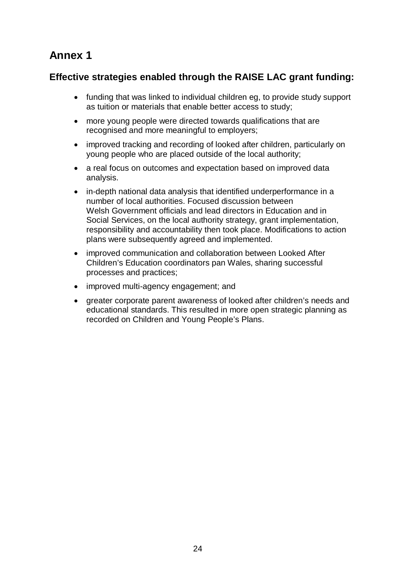## **Annex 1**

### **Effective strategies enabled through the RAISE LAC grant funding:**

- funding that was linked to individual children eg, to provide study support as tuition or materials that enable better access to study;
- more young people were directed towards qualifications that are recognised and more meaningful to employers;
- improved tracking and recording of looked after children, particularly on young people who are placed outside of the local authority;
- a real focus on outcomes and expectation based on improved data analysis.
- in-depth national data analysis that identified underperformance in a number of local authorities. Focused discussion between Welsh Government officials and lead directors in Education and in Social Services, on the local authority strategy, grant implementation, responsibility and accountability then took place. Modifications to action plans were subsequently agreed and implemented.
- improved communication and collaboration between Looked After Children's Education coordinators pan Wales, sharing successful processes and practices;
- improved multi-agency engagement; and
- greater corporate parent awareness of looked after children's needs and educational standards. This resulted in more open strategic planning as recorded on Children and Young People's Plans.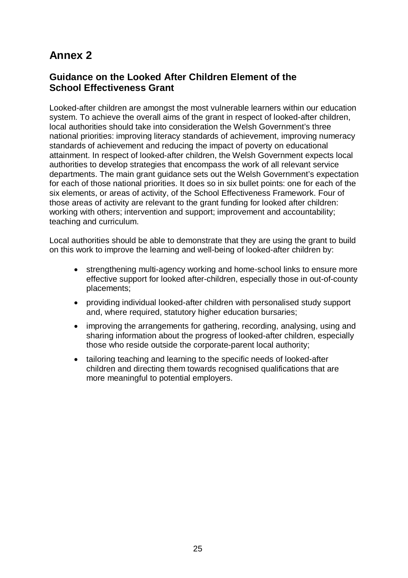## **Annex 2**

#### **Guidance on the Looked After Children Element of the School Effectiveness Grant**

Looked-after children are amongst the most vulnerable learners within our education system. To achieve the overall aims of the grant in respect of looked-after children, local authorities should take into consideration the Welsh Government's three national priorities: improving literacy standards of achievement, improving numeracy standards of achievement and reducing the impact of poverty on educational attainment. In respect of looked-after children, the Welsh Government expects local authorities to develop strategies that encompass the work of all relevant service departments. The main grant guidance sets out the Welsh Government's expectation for each of those national priorities. It does so in six bullet points: one for each of the six elements, or areas of activity, of the School Effectiveness Framework. Four of those areas of activity are relevant to the grant funding for looked after children: working with others; intervention and support; improvement and accountability; teaching and curriculum.

Local authorities should be able to demonstrate that they are using the grant to build on this work to improve the learning and well-being of looked-after children by:

- strengthening multi-agency working and home-school links to ensure more effective support for looked after-children, especially those in out-of-county placements;
- providing individual looked-after children with personalised study support and, where required, statutory higher education bursaries;
- improving the arrangements for gathering, recording, analysing, using and sharing information about the progress of looked-after children, especially those who reside outside the corporate-parent local authority;
- tailoring teaching and learning to the specific needs of looked-after children and directing them towards recognised qualifications that are more meaningful to potential employers.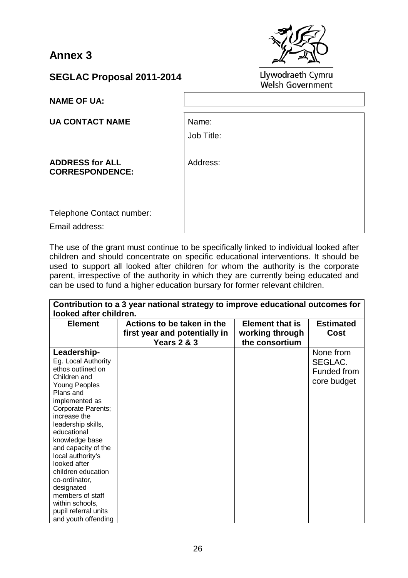**Annex 3** 



**SEGLAC Proposal 2011-2014** 

**NAME OF UA:** 

**UA CONTACT NAME** 

Name: Job Title:

**ADDRESS for ALL CORRESPONDENCE:** Address:

Telephone Contact number:

Email address:

The use of the grant must continue to be specifically linked to individual looked after children and should concentrate on specific educational interventions. It should be used to support all looked after children for whom the authority is the corporate parent, irrespective of the authority in which they are currently being educated and can be used to fund a higher education bursary for former relevant children.

| looked after children.                                                                                                                                                                                                                                                                                                                                                                                                             | Contribution to a 3 year national strategy to improve educational outcomes for        |                                                             |                                                    |
|------------------------------------------------------------------------------------------------------------------------------------------------------------------------------------------------------------------------------------------------------------------------------------------------------------------------------------------------------------------------------------------------------------------------------------|---------------------------------------------------------------------------------------|-------------------------------------------------------------|----------------------------------------------------|
| <b>Element</b>                                                                                                                                                                                                                                                                                                                                                                                                                     | Actions to be taken in the<br>first year and potentially in<br><b>Years 2 &amp; 3</b> | <b>Element that is</b><br>working through<br>the consortium | <b>Estimated</b><br><b>Cost</b>                    |
| Leadership-<br>Eg. Local Authority<br>ethos outlined on<br>Children and<br><b>Young Peoples</b><br>Plans and<br>implemented as<br>Corporate Parents;<br>increase the<br>leadership skills,<br>educational<br>knowledge base<br>and capacity of the<br>local authority's<br>looked after<br>children education<br>co-ordinator,<br>designated<br>members of staff<br>within schools,<br>pupil referral units<br>and youth offending |                                                                                       |                                                             | None from<br>SEGLAC.<br>Funded from<br>core budget |

Llywodraeth Cymru Welsh Government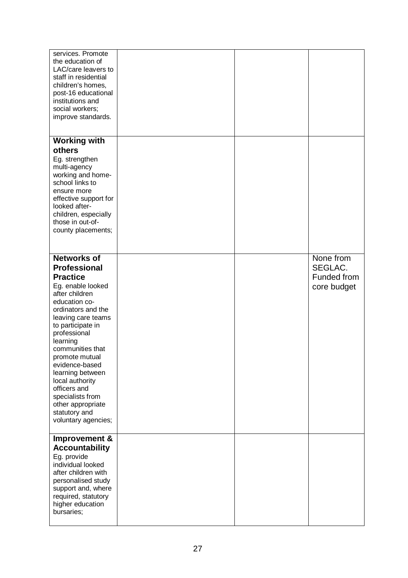| services. Promote<br>the education of<br>LAC/care leavers to<br>staff in residential<br>children's homes,<br>post-16 educational<br>institutions and<br>social workers;<br>improve standards.                                                                                                                                                                                                                     |  |                                                    |
|-------------------------------------------------------------------------------------------------------------------------------------------------------------------------------------------------------------------------------------------------------------------------------------------------------------------------------------------------------------------------------------------------------------------|--|----------------------------------------------------|
| <b>Working with</b><br>others<br>Eg. strengthen<br>multi-agency<br>working and home-<br>school links to<br>ensure more<br>effective support for<br>looked after-<br>children, especially<br>those in out-of-<br>county placements;                                                                                                                                                                                |  |                                                    |
| <b>Networks of</b><br><b>Professional</b><br><b>Practice</b><br>Eg. enable looked<br>after children<br>education co-<br>ordinators and the<br>leaving care teams<br>to participate in<br>professional<br>learning<br>communities that<br>promote mutual<br>evidence-based<br>learning between<br>local authority<br>officers and<br>specialists from<br>other appropriate<br>statutory and<br>voluntary agencies; |  | None from<br>SEGLAC.<br>Funded from<br>core budget |
| Improvement &<br><b>Accountability</b><br>Eg. provide<br>individual looked<br>after children with<br>personalised study<br>support and, where<br>required, statutory<br>higher education<br>bursaries;                                                                                                                                                                                                            |  |                                                    |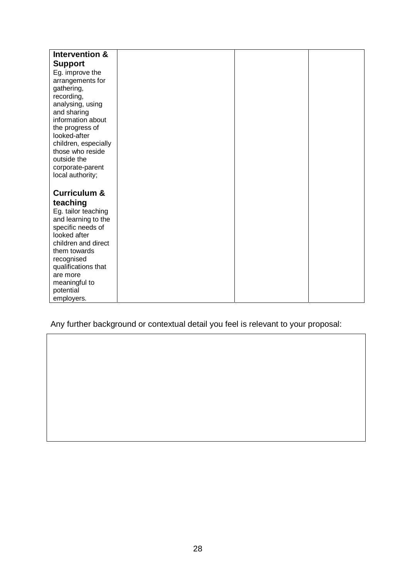| Intervention &          |  |  |
|-------------------------|--|--|
| <b>Support</b>          |  |  |
| Eg. improve the         |  |  |
| arrangements for        |  |  |
| gathering,              |  |  |
| recording,              |  |  |
| analysing, using        |  |  |
| and sharing             |  |  |
| information about       |  |  |
| the progress of         |  |  |
| looked-after            |  |  |
| children, especially    |  |  |
| those who reside        |  |  |
| outside the             |  |  |
| corporate-parent        |  |  |
| local authority;        |  |  |
|                         |  |  |
| <b>Curriculum &amp;</b> |  |  |
| teaching                |  |  |
| Eg. tailor teaching     |  |  |
| and learning to the     |  |  |
| specific needs of       |  |  |
| looked after            |  |  |
| children and direct     |  |  |
| them towards            |  |  |
| recognised              |  |  |
| qualifications that     |  |  |
| are more                |  |  |
| meaningful to           |  |  |
| potential               |  |  |
| employers.              |  |  |

Any further background or contextual detail you feel is relevant to your proposal: